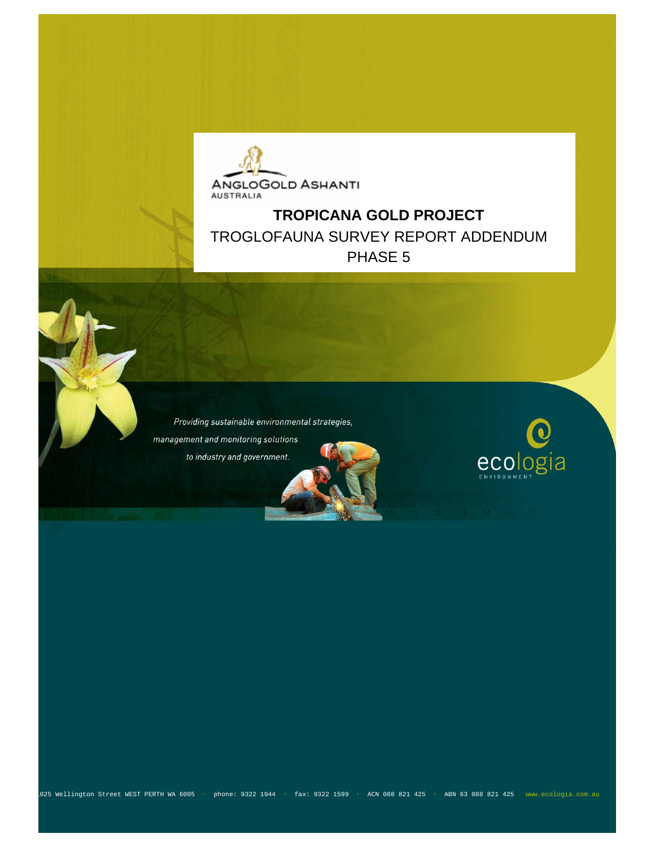

## **TROPICANA GOLD PROJECT**  TROGLOFAUNA SURVEY REPORT ADDENDUM PHASE 5

Providing sustainable environmental strategies, management and monitoring solutions to industry and government.



1025 Wellington Street WEST PERTH WA 6005 ・ phone: 9322 1944 ・ fax: 9322 1599 ・ ACN 088 821 425 ・ ABN 63 088 821 425 www.ecologia.com.au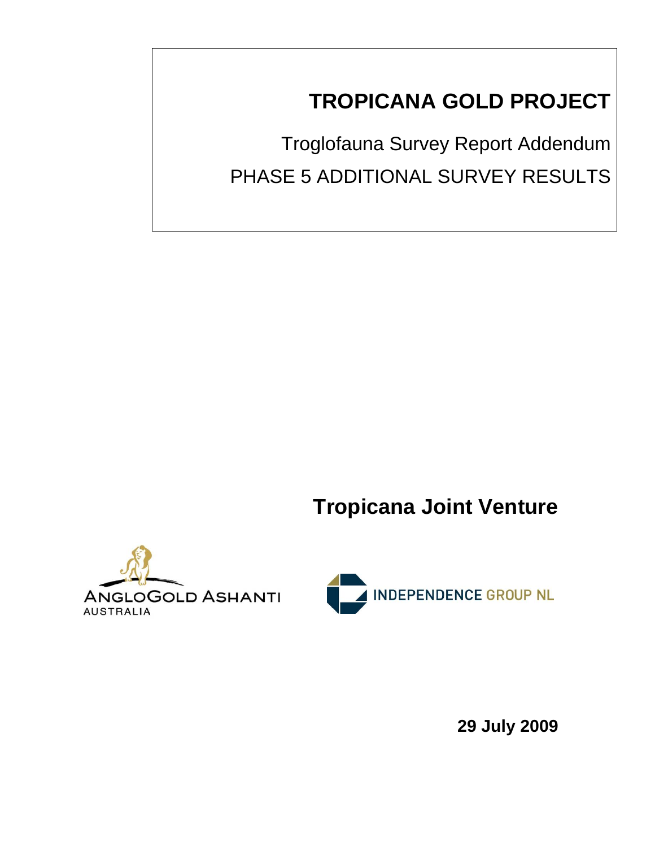# **TROPICANA GOLD PROJECT**

Troglofauna Survey Report Addendum PHASE 5 ADDITIONAL SURVEY RESULTS

**Tropicana Joint Venture** 





**29 July 2009**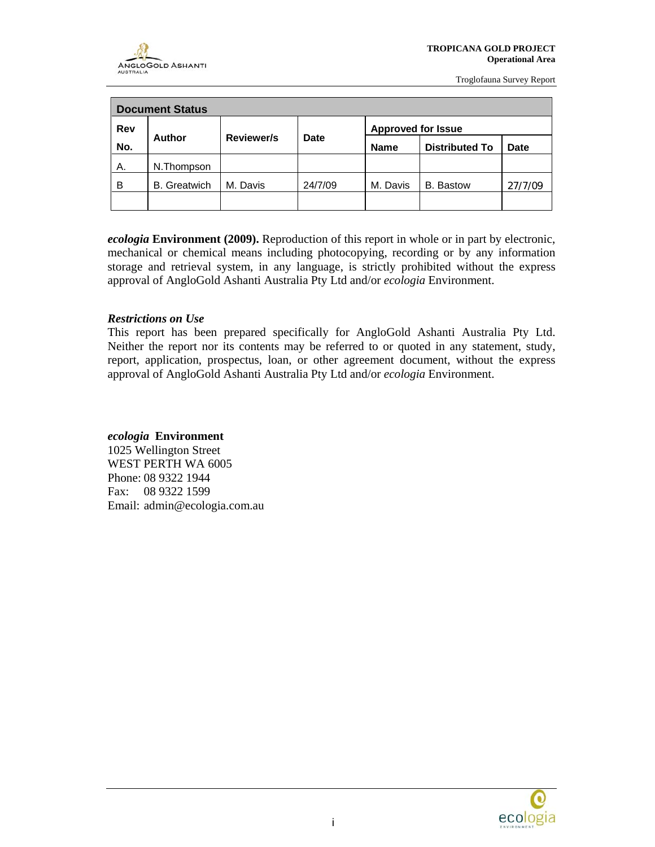| <b>Document Status</b> |                     |                   |                     |                                      |           |             |  |  |  |
|------------------------|---------------------|-------------------|---------------------|--------------------------------------|-----------|-------------|--|--|--|
| Rev                    |                     |                   |                     | <b>Approved for Issue</b>            |           |             |  |  |  |
| No.                    | Author              | <b>Reviewer/s</b> | Date                | <b>Distributed To</b><br><b>Name</b> |           | <b>Date</b> |  |  |  |
| А.                     | N.Thompson          |                   |                     |                                      |           |             |  |  |  |
| B                      | <b>B.</b> Greatwich | M. Davis          | 24/7/09<br>M. Davis |                                      | B. Bastow | 27/7/09     |  |  |  |
|                        |                     |                   |                     |                                      |           |             |  |  |  |

*ecologia* **Environment (2009).** Reproduction of this report in whole or in part by electronic, mechanical or chemical means including photocopying, recording or by any information storage and retrieval system, in any language, is strictly prohibited without the express approval of AngloGold Ashanti Australia Pty Ltd and/or *ecologia* Environment.

#### *Restrictions on Use*

This report has been prepared specifically for AngloGold Ashanti Australia Pty Ltd. Neither the report nor its contents may be referred to or quoted in any statement, study, report, application, prospectus, loan, or other agreement document, without the express approval of AngloGold Ashanti Australia Pty Ltd and/or *ecologia* Environment.

#### *ecologia* **Environment**

1025 Wellington Street WEST PERTH WA 6005 Phone: 08 9322 1944 Fax: 08 9322 1599 Email: admin@ecologia.com.au

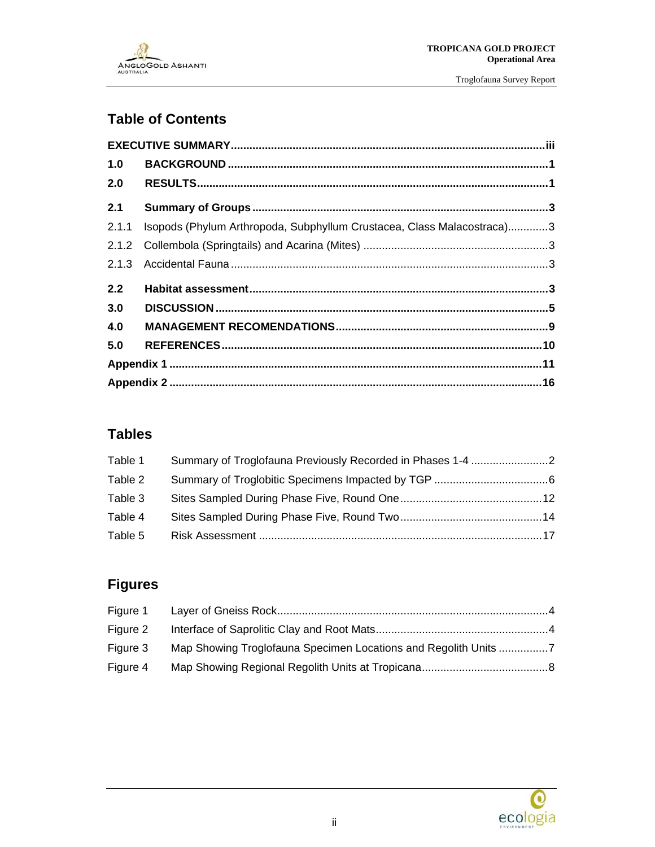

### **Table of Contents**

| 1.0   |                                                                        |  |
|-------|------------------------------------------------------------------------|--|
| 2.0   |                                                                        |  |
| 2.1   |                                                                        |  |
| 2.1.1 | Isopods (Phylum Arthropoda, Subphyllum Crustacea, Class Malacostraca)3 |  |
|       |                                                                        |  |
| 2.1.3 |                                                                        |  |
| 2.2   |                                                                        |  |
| 3.0   |                                                                        |  |
| 4.0   |                                                                        |  |
| 5.0   |                                                                        |  |
|       |                                                                        |  |
|       |                                                                        |  |

### **Tables**

| Table 1 |  |
|---------|--|
| Table 2 |  |
| Table 3 |  |
| Table 4 |  |
| Table 5 |  |

## **Figures**

| Figure 1 |                                                                 |  |
|----------|-----------------------------------------------------------------|--|
| Figure 2 |                                                                 |  |
| Figure 3 | Map Showing Troglofauna Specimen Locations and Regolith Units 7 |  |
| Figure 4 |                                                                 |  |

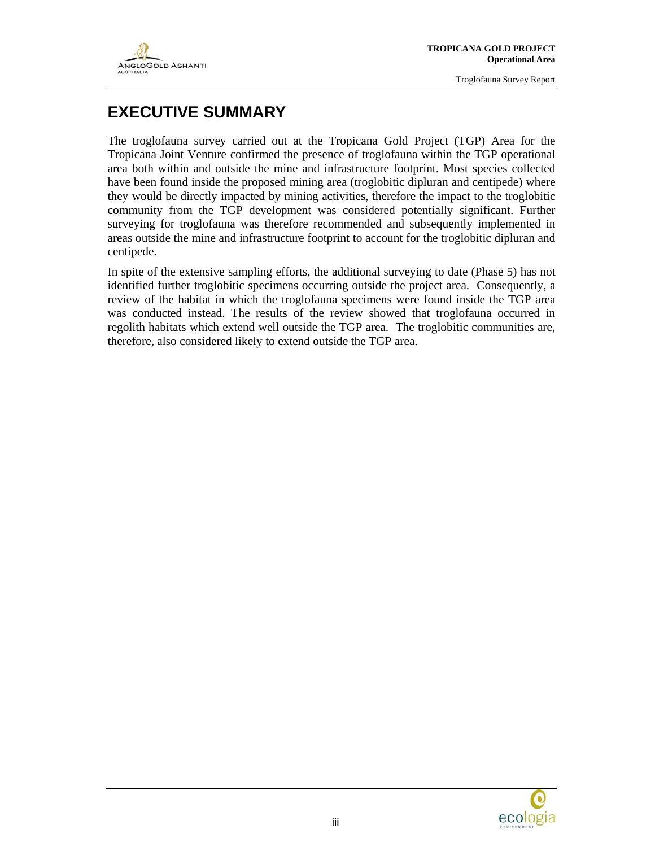

### **EXECUTIVE SUMMARY**

The troglofauna survey carried out at the Tropicana Gold Project (TGP) Area for the Tropicana Joint Venture confirmed the presence of troglofauna within the TGP operational area both within and outside the mine and infrastructure footprint. Most species collected have been found inside the proposed mining area (troglobitic dipluran and centipede) where they would be directly impacted by mining activities, therefore the impact to the troglobitic community from the TGP development was considered potentially significant. Further surveying for troglofauna was therefore recommended and subsequently implemented in areas outside the mine and infrastructure footprint to account for the troglobitic dipluran and centipede.

In spite of the extensive sampling efforts, the additional surveying to date (Phase 5) has not identified further troglobitic specimens occurring outside the project area. Consequently, a review of the habitat in which the troglofauna specimens were found inside the TGP area was conducted instead. The results of the review showed that troglofauna occurred in regolith habitats which extend well outside the TGP area. The troglobitic communities are, therefore, also considered likely to extend outside the TGP area.

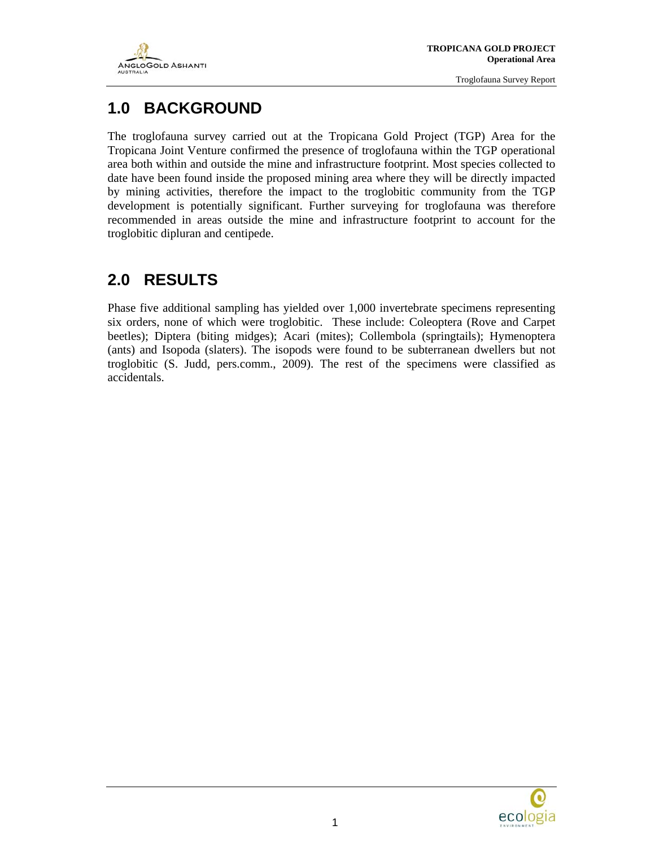

### **1.0 BACKGROUND**

The troglofauna survey carried out at the Tropicana Gold Project (TGP) Area for the Tropicana Joint Venture confirmed the presence of troglofauna within the TGP operational area both within and outside the mine and infrastructure footprint. Most species collected to date have been found inside the proposed mining area where they will be directly impacted by mining activities, therefore the impact to the troglobitic community from the TGP development is potentially significant. Further surveying for troglofauna was therefore recommended in areas outside the mine and infrastructure footprint to account for the troglobitic dipluran and centipede.

## **2.0 RESULTS**

Phase five additional sampling has yielded over 1,000 invertebrate specimens representing six orders, none of which were troglobitic. These include: Coleoptera (Rove and Carpet beetles); Diptera (biting midges); Acari (mites); Collembola (springtails); Hymenoptera (ants) and Isopoda (slaters). The isopods were found to be subterranean dwellers but not troglobitic (S. Judd, pers.comm., 2009). The rest of the specimens were classified as accidentals.

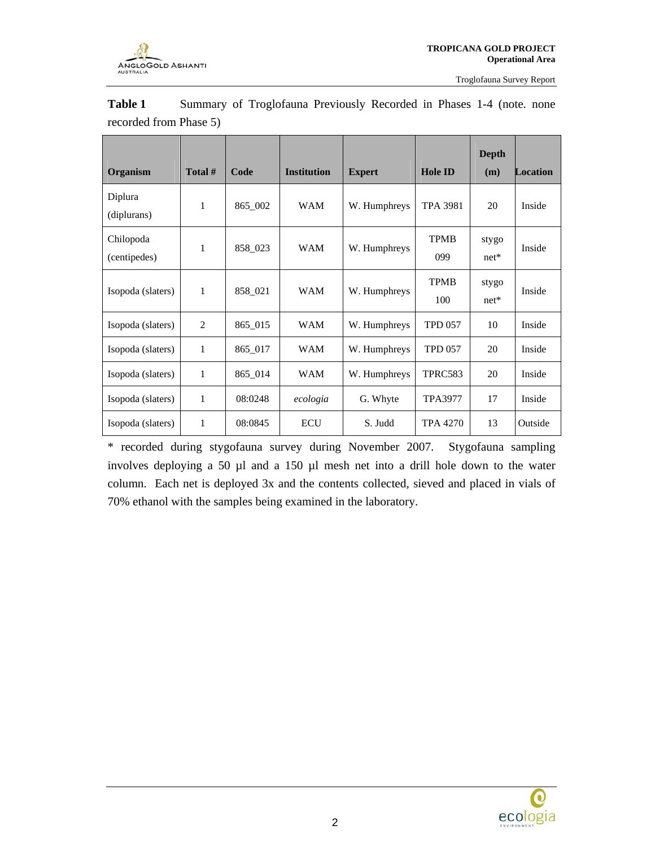

| Organism                  | Total #        | Code    | <b>Institution</b> | <b>Expert</b> | <b>Hole ID</b>     | <b>Depth</b><br>(m) | <b>Location</b> |
|---------------------------|----------------|---------|--------------------|---------------|--------------------|---------------------|-----------------|
| Diplura<br>(diplurans)    | 1              | 865_002 | <b>WAM</b>         | W. Humphreys  | <b>TPA 3981</b>    | 20                  | Inside          |
| Chilopoda<br>(centipedes) | $\mathbf{1}$   | 858_023 | <b>WAM</b>         | W. Humphreys  | <b>TPMB</b><br>099 | stygo<br>$net*$     | Inside          |
| Isopoda (slaters)         | 1              | 858_021 | <b>WAM</b>         | W. Humphreys  | <b>TPMB</b><br>100 | stygo<br>$net*$     | Inside          |
| Isopoda (slaters)         | $\overline{c}$ | 865_015 | <b>WAM</b>         | W. Humphreys  | <b>TPD 057</b>     | 10                  | Inside          |
| Isopoda (slaters)         | 1              | 865_017 | <b>WAM</b>         | W. Humphreys  | <b>TPD 057</b>     | 20                  | Inside          |
| Isopoda (slaters)         | 1              | 865_014 | WAM                | W. Humphreys  | TPRC583            | 20                  | Inside          |
| Isopoda (slaters)         | 1              | 08:0248 | ecologia           | G. Whyte      | <b>TPA3977</b>     | 17                  | Inside          |
| Isopoda (slaters)         | 1              | 08:0845 | <b>ECU</b>         | S. Judd       | <b>TPA 4270</b>    | 13                  | Outside         |

Table 1 Summary of Troglofauna Previously Recorded in Phases 1-4 (note. none recorded from Phase 5)

\* recorded during stygofauna survey during November 2007. Stygofauna sampling involves deploying a 50 µl and a 150 µl mesh net into a drill hole down to the water column. Each net is deployed 3x and the contents collected, sieved and placed in vials of 70% ethanol with the samples being examined in the laboratory.

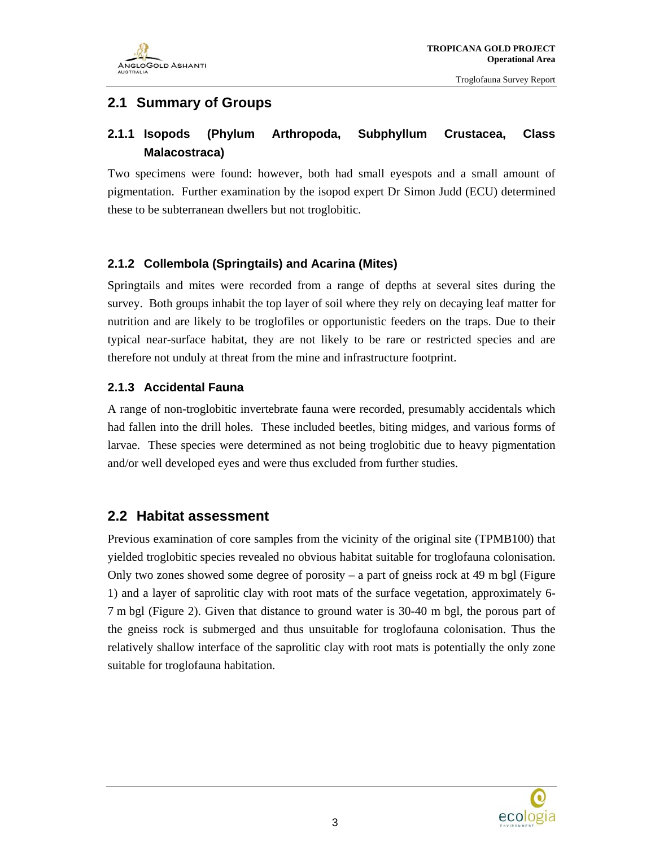

### **2.1 Summary of Groups**

### **2.1.1 Isopods (Phylum Arthropoda, Subphyllum Crustacea, Class Malacostraca)**

Two specimens were found: however, both had small eyespots and a small amount of pigmentation. Further examination by the isopod expert Dr Simon Judd (ECU) determined these to be subterranean dwellers but not troglobitic.

#### **2.1.2 Collembola (Springtails) and Acarina (Mites)**

Springtails and mites were recorded from a range of depths at several sites during the survey. Both groups inhabit the top layer of soil where they rely on decaying leaf matter for nutrition and are likely to be troglofiles or opportunistic feeders on the traps. Due to their typical near-surface habitat, they are not likely to be rare or restricted species and are therefore not unduly at threat from the mine and infrastructure footprint.

#### **2.1.3 Accidental Fauna**

A range of non-troglobitic invertebrate fauna were recorded, presumably accidentals which had fallen into the drill holes. These included beetles, biting midges, and various forms of larvae. These species were determined as not being troglobitic due to heavy pigmentation and/or well developed eyes and were thus excluded from further studies.

#### **2.2 Habitat assessment**

Previous examination of core samples from the vicinity of the original site (TPMB100) that yielded troglobitic species revealed no obvious habitat suitable for troglofauna colonisation. Only two zones showed some degree of porosity  $-$  a part of gneiss rock at 49 m bgl (Figure 1) and a layer of saprolitic clay with root mats of the surface vegetation, approximately 6- 7 m bgl (Figure 2). Given that distance to ground water is 30-40 m bgl, the porous part of the gneiss rock is submerged and thus unsuitable for troglofauna colonisation. Thus the relatively shallow interface of the saprolitic clay with root mats is potentially the only zone suitable for troglofauna habitation.

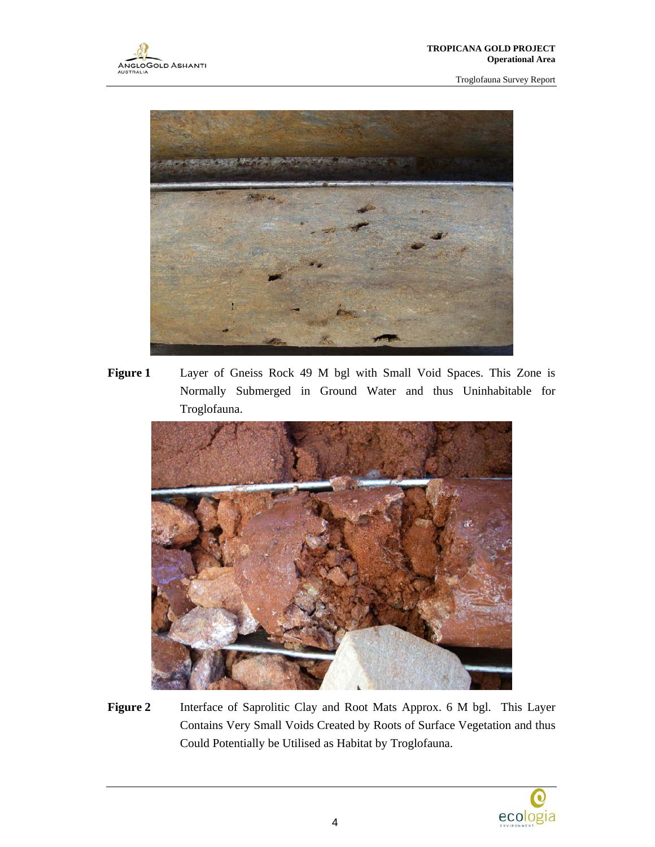

**Figure 1** Layer of Gneiss Rock 49 M bgl with Small Void Spaces. This Zone is Normally Submerged in Ground Water and thus Uninhabitable for Troglofauna.



Figure 2 **Interface of Saprolitic Clay and Root Mats Approx. 6 M bgl. This Layer** Contains Very Small Voids Created by Roots of Surface Vegetation and thus Could Potentially be Utilised as Habitat by Troglofauna.

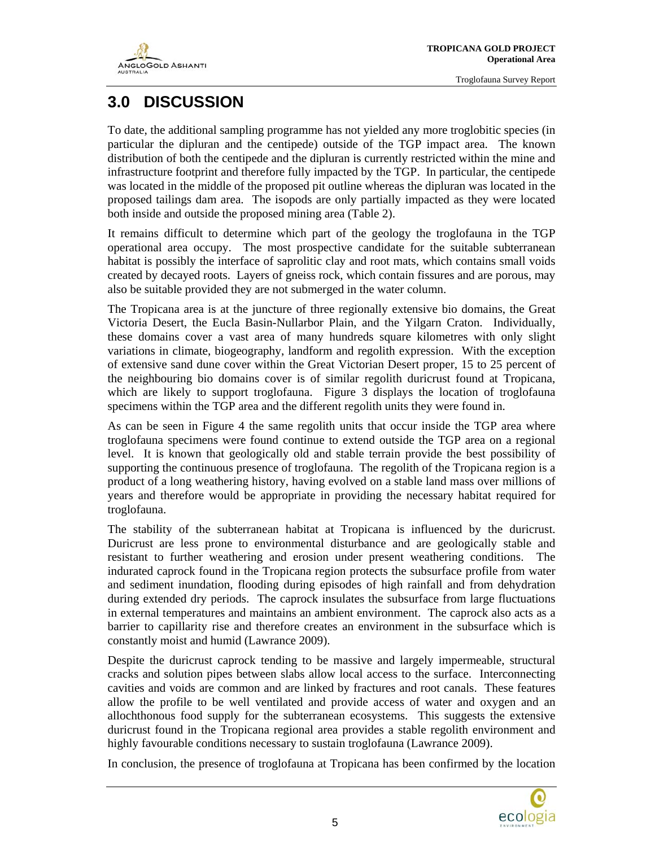

## **3.0 DISCUSSION**

To date, the additional sampling programme has not yielded any more troglobitic species (in particular the dipluran and the centipede) outside of the TGP impact area. The known distribution of both the centipede and the dipluran is currently restricted within the mine and infrastructure footprint and therefore fully impacted by the TGP. In particular, the centipede was located in the middle of the proposed pit outline whereas the dipluran was located in the proposed tailings dam area. The isopods are only partially impacted as they were located both inside and outside the proposed mining area (Table 2).

It remains difficult to determine which part of the geology the troglofauna in the TGP operational area occupy. The most prospective candidate for the suitable subterranean habitat is possibly the interface of saprolitic clay and root mats, which contains small voids created by decayed roots. Layers of gneiss rock, which contain fissures and are porous, may also be suitable provided they are not submerged in the water column.

The Tropicana area is at the juncture of three regionally extensive bio domains, the Great Victoria Desert, the Eucla Basin-Nullarbor Plain, and the Yilgarn Craton. Individually, these domains cover a vast area of many hundreds square kilometres with only slight variations in climate, biogeography, landform and regolith expression. With the exception of extensive sand dune cover within the Great Victorian Desert proper, 15 to 25 percent of the neighbouring bio domains cover is of similar regolith duricrust found at Tropicana, which are likely to support troglofauna. Figure 3 displays the location of troglofauna specimens within the TGP area and the different regolith units they were found in.

As can be seen in Figure 4 the same regolith units that occur inside the TGP area where troglofauna specimens were found continue to extend outside the TGP area on a regional level. It is known that geologically old and stable terrain provide the best possibility of supporting the continuous presence of troglofauna. The regolith of the Tropicana region is a product of a long weathering history, having evolved on a stable land mass over millions of years and therefore would be appropriate in providing the necessary habitat required for troglofauna.

The stability of the subterranean habitat at Tropicana is influenced by the duricrust. Duricrust are less prone to environmental disturbance and are geologically stable and resistant to further weathering and erosion under present weathering conditions. The indurated caprock found in the Tropicana region protects the subsurface profile from water and sediment inundation, flooding during episodes of high rainfall and from dehydration during extended dry periods. The caprock insulates the subsurface from large fluctuations in external temperatures and maintains an ambient environment. The caprock also acts as a barrier to capillarity rise and therefore creates an environment in the subsurface which is constantly moist and humid (Lawrance 2009).

Despite the duricrust caprock tending to be massive and largely impermeable, structural cracks and solution pipes between slabs allow local access to the surface. Interconnecting cavities and voids are common and are linked by fractures and root canals. These features allow the profile to be well ventilated and provide access of water and oxygen and an allochthonous food supply for the subterranean ecosystems. This suggests the extensive duricrust found in the Tropicana regional area provides a stable regolith environment and highly favourable conditions necessary to sustain troglofauna (Lawrance 2009).

In conclusion, the presence of troglofauna at Tropicana has been confirmed by the location

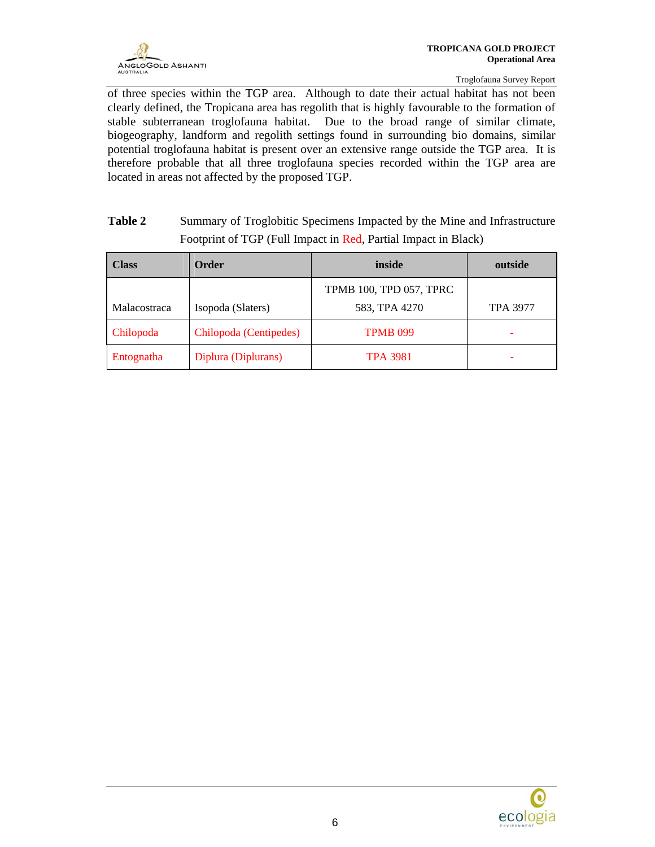of three species within the TGP area. Although to date their actual habitat has not been clearly defined, the Tropicana area has regolith that is highly favourable to the formation of stable subterranean troglofauna habitat. Due to the broad range of similar climate, biogeography, landform and regolith settings found in surrounding bio domains, similar potential troglofauna habitat is present over an extensive range outside the TGP area. It is therefore probable that all three troglofauna species recorded within the TGP area are located in areas not affected by the proposed TGP.

| Table 2 | Summary of Troglobitic Specimens Impacted by the Mine and Infrastructure |
|---------|--------------------------------------------------------------------------|
|         | Footprint of TGP (Full Impact in Red, Partial Impact in Black)           |

| <b>Class</b>        | Order                  | inside                  | outside         |  |  |
|---------------------|------------------------|-------------------------|-----------------|--|--|
|                     |                        | TPMB 100, TPD 057, TPRC |                 |  |  |
| <b>Malacostraca</b> | Isopoda (Slaters)      | 583, TPA 4270           | <b>TPA 3977</b> |  |  |
| Chilopoda           | Chilopoda (Centipedes) | <b>TPMB 099</b>         |                 |  |  |
| Entognatha          | Diplura (Diplurans)    | <b>TPA 3981</b>         |                 |  |  |

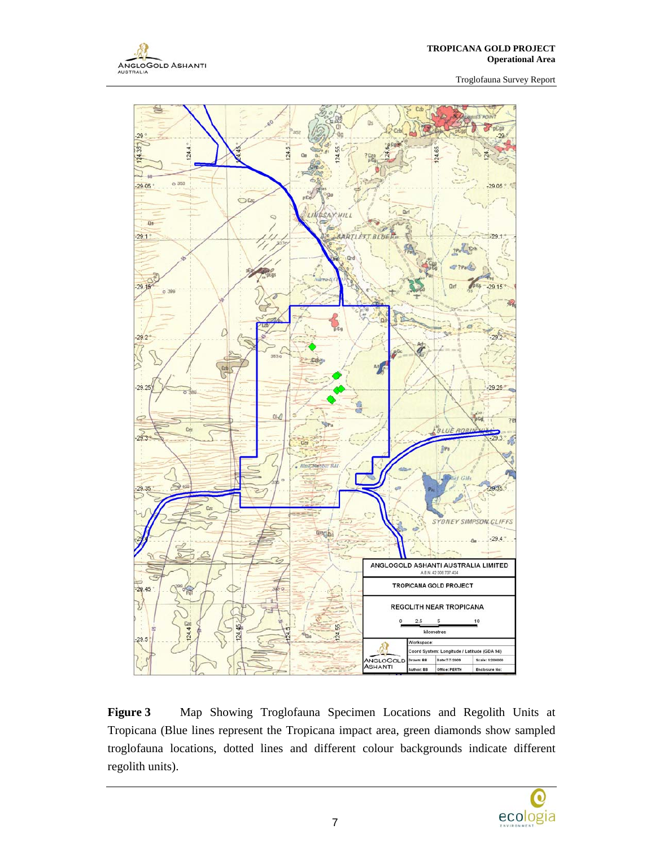



**Figure 3** Map Showing Troglofauna Specimen Locations and Regolith Units at Tropicana (Blue lines represent the Tropicana impact area, green diamonds show sampled troglofauna locations, dotted lines and different colour backgrounds indicate different regolith units).

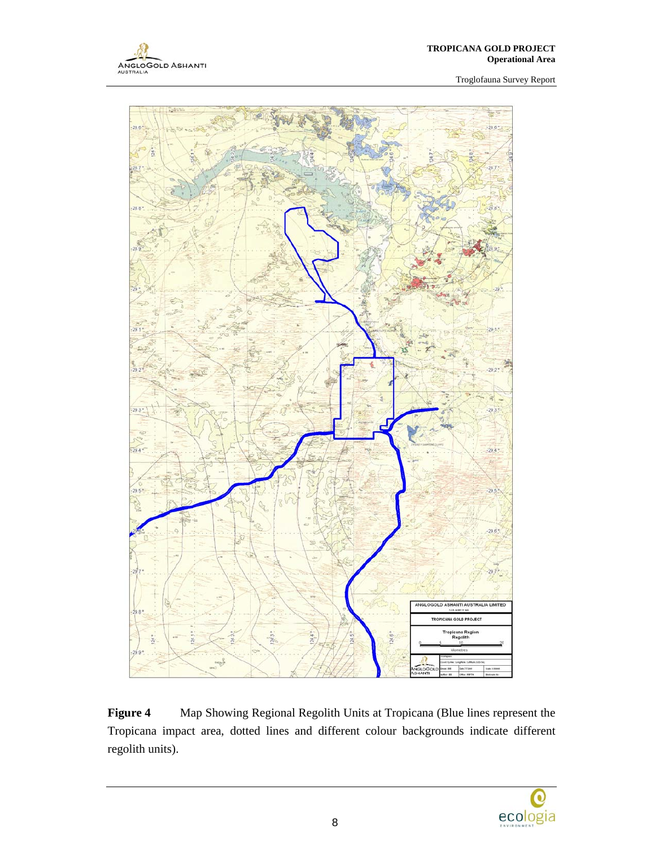



**Figure 4** Map Showing Regional Regolith Units at Tropicana (Blue lines represent the Tropicana impact area, dotted lines and different colour backgrounds indicate different regolith units).

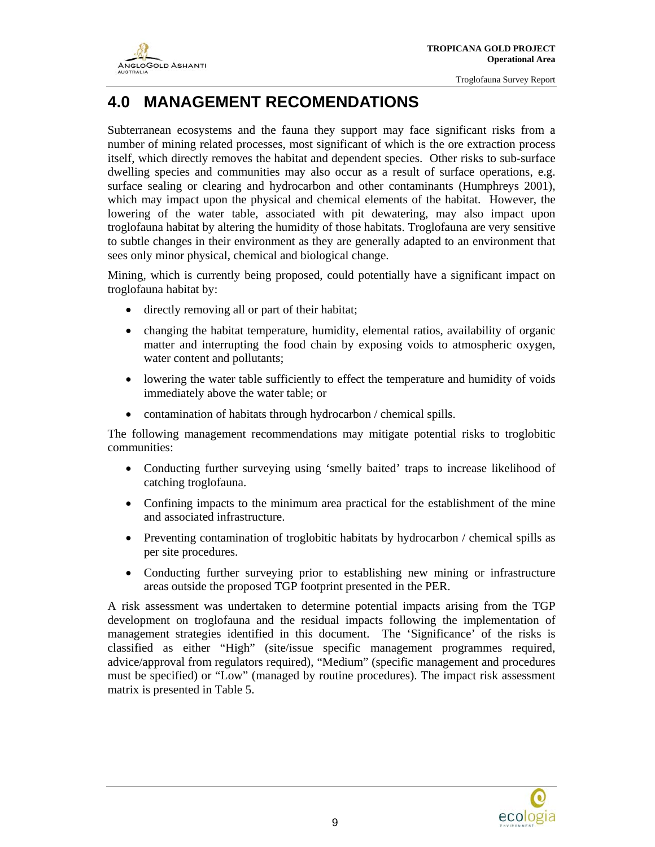## **4.0 MANAGEMENT RECOMENDATIONS**

Subterranean ecosystems and the fauna they support may face significant risks from a number of mining related processes, most significant of which is the ore extraction process itself, which directly removes the habitat and dependent species. Other risks to sub-surface dwelling species and communities may also occur as a result of surface operations, e.g. surface sealing or clearing and hydrocarbon and other contaminants (Humphreys 2001), which may impact upon the physical and chemical elements of the habitat. However, the lowering of the water table, associated with pit dewatering, may also impact upon troglofauna habitat by altering the humidity of those habitats. Troglofauna are very sensitive to subtle changes in their environment as they are generally adapted to an environment that sees only minor physical, chemical and biological change.

Mining, which is currently being proposed, could potentially have a significant impact on troglofauna habitat by:

- directly removing all or part of their habitat;
- changing the habitat temperature, humidity, elemental ratios, availability of organic matter and interrupting the food chain by exposing voids to atmospheric oxygen, water content and pollutants;
- lowering the water table sufficiently to effect the temperature and humidity of voids immediately above the water table; or
- contamination of habitats through hydrocarbon / chemical spills.

The following management recommendations may mitigate potential risks to troglobitic communities:

- Conducting further surveying using 'smelly baited' traps to increase likelihood of catching troglofauna.
- Confining impacts to the minimum area practical for the establishment of the mine and associated infrastructure.
- Preventing contamination of troglobitic habitats by hydrocarbon / chemical spills as per site procedures.
- Conducting further surveying prior to establishing new mining or infrastructure areas outside the proposed TGP footprint presented in the PER.

A risk assessment was undertaken to determine potential impacts arising from the TGP development on troglofauna and the residual impacts following the implementation of management strategies identified in this document. The 'Significance' of the risks is classified as either "High" (site/issue specific management programmes required, advice/approval from regulators required), "Medium" (specific management and procedures must be specified) or "Low" (managed by routine procedures). The impact risk assessment matrix is presented in Table 5.

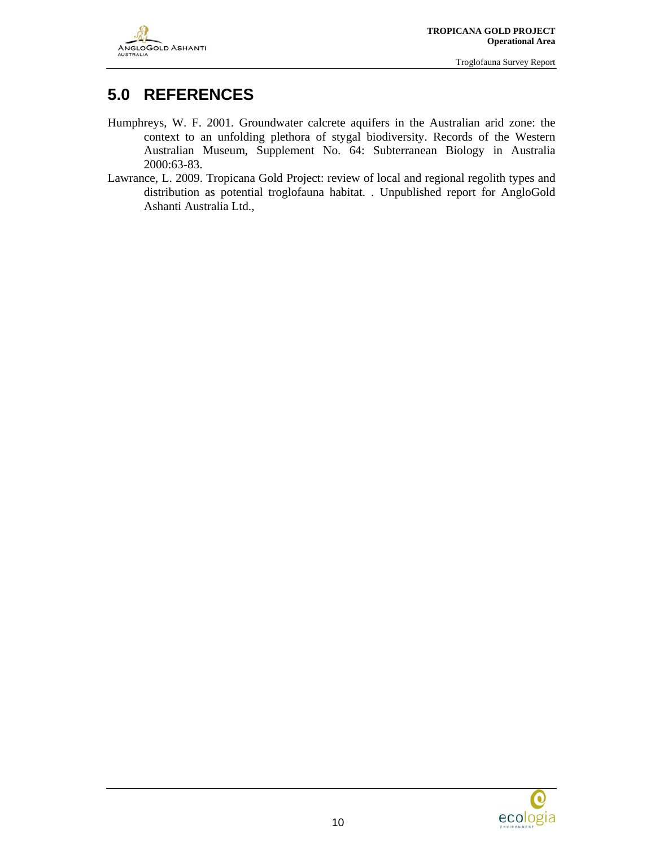

### **5.0 REFERENCES**

- Humphreys, W. F. 2001. Groundwater calcrete aquifers in the Australian arid zone: the context to an unfolding plethora of stygal biodiversity. Records of the Western Australian Museum, Supplement No. 64: Subterranean Biology in Australia 2000:63-83.
- Lawrance, L. 2009. Tropicana Gold Project: review of local and regional regolith types and distribution as potential troglofauna habitat. . Unpublished report for AngloGold Ashanti Australia Ltd.,

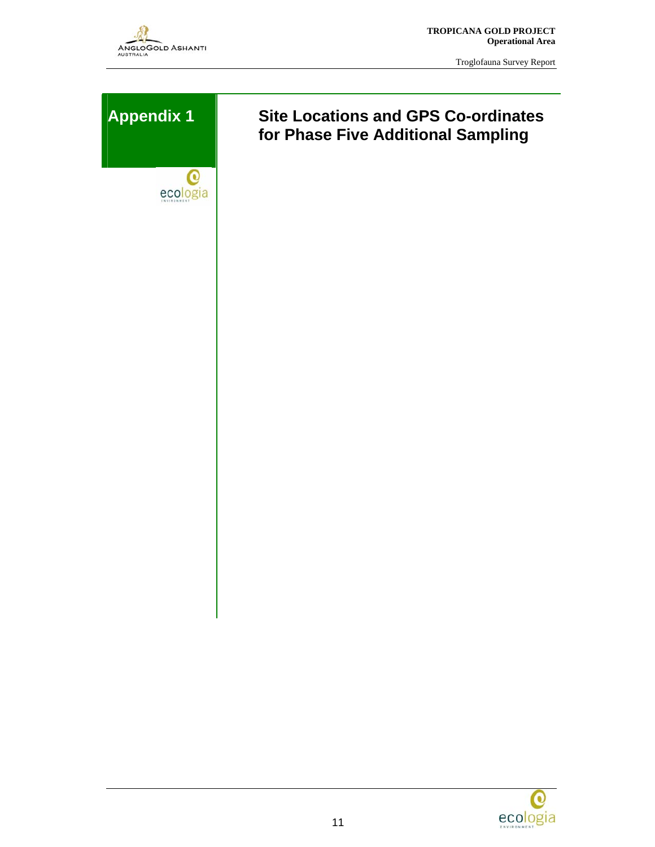

 **TROPICANA GOLD PROJECT Operational Area** 

Troglofauna Survey Report

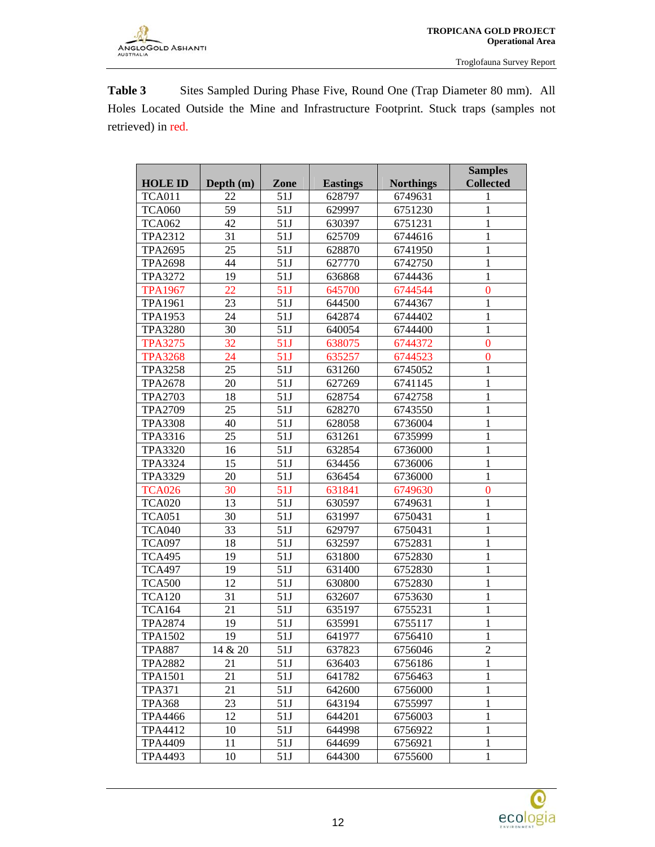Table 3 Sites Sampled During Phase Five, Round One (Trap Diameter 80 mm). All Holes Located Outside the Mine and Infrastructure Footprint. Stuck traps (samples not retrieved) in red.

|                |             |      |                 |                  | <b>Samples</b>   |
|----------------|-------------|------|-----------------|------------------|------------------|
| <b>HOLE ID</b> | Depth $(m)$ | Zone | <b>Eastings</b> | <b>Northings</b> | <b>Collected</b> |
| <b>TCA011</b>  | 22          | 51J  | 628797          | 6749631          | 1                |
| <b>TCA060</b>  | 59          | 51J  | 629997          | 6751230          | 1                |
| <b>TCA062</b>  | 42          | 51J  | 630397          | 6751231          | 1                |
| <b>TPA2312</b> | 31          | 51J  | 625709          | 6744616          | 1                |
| <b>TPA2695</b> | 25          | 51J  | 628870          | 6741950          | 1                |
| <b>TPA2698</b> | 44          | 51J  | 627770          | 6742750          | $\mathbf{1}$     |
| <b>TPA3272</b> | 19          | 51J  | 636868          | 6744436          | $\mathbf{1}$     |
| <b>TPA1967</b> | 22          | 51J  | 645700          | 6744544          | $\overline{0}$   |
| <b>TPA1961</b> | 23          | 51J  | 644500          | 6744367          | $\mathbf{1}$     |
| <b>TPA1953</b> | 24          | 51J  | 642874          | 6744402          | $\mathbf{1}$     |
| <b>TPA3280</b> | 30          | 51J  | 640054          | 6744400          | 1                |
| <b>TPA3275</b> | 32          | 51J  | 638075          | 6744372          | $\mathbf{0}$     |
| <b>TPA3268</b> | 24          | 51J  | 635257          | 6744523          | $\overline{0}$   |
| <b>TPA3258</b> | 25          | 51J  | 631260          | 6745052          | $\mathbf{1}$     |
| <b>TPA2678</b> | 20          | 51J  | 627269          | 6741145          | $\mathbf{1}$     |
| <b>TPA2703</b> | 18          | 51J  | 628754          | 6742758          | $\mathbf{1}$     |
| <b>TPA2709</b> | 25          | 51J  | 628270          | 6743550          | 1                |
| <b>TPA3308</b> | 40          | 51J  | 628058          | 6736004          | $\mathbf{1}$     |
| <b>TPA3316</b> | 25          | 51J  | 631261          | 6735999          | $\mathbf{1}$     |
| <b>TPA3320</b> | 16          | 51J  | 632854          | 6736000          | $\mathbf{1}$     |
| <b>TPA3324</b> | 15          | 51J  | 634456          | 6736006          | $\mathbf{1}$     |
| <b>TPA3329</b> | 20          | 51J  | 636454          | 6736000          | $\mathbf{1}$     |
| <b>TCA026</b>  | 30          | 51J  | 631841          | 6749630          | $\overline{0}$   |
| <b>TCA020</b>  | 13          | 51J  | 630597          | 6749631          | 1                |
| <b>TCA051</b>  | 30          | 51J  | 631997          | 6750431          | $\mathbf{1}$     |
| <b>TCA040</b>  | 33          | 51J  | 629797          | 6750431          | $\mathbf{1}$     |
| <b>TCA097</b>  | 18          | 51J  | 632597          | 6752831          | $\mathbf{1}$     |
| <b>TCA495</b>  | 19          | 51J  | 631800          | 6752830          | $\mathbf{1}$     |
| <b>TCA497</b>  | 19          | 51J  | 631400          | 6752830          | $\mathbf{1}$     |
| <b>TCA500</b>  | 12          | 51J  | 630800          | 6752830          | 1                |
| <b>TCA120</b>  | 31          | 51J  | 632607          | 6753630          | $\mathbf{1}$     |
| <b>TCA164</b>  | 21          | 51J  | 635197          | 6755231          | $\mathbf{1}$     |
| <b>TPA2874</b> | 19          | 51J  | 635991          | 6755117          | $\mathbf{1}$     |
| <b>TPA1502</b> | 19          | 51J  | 641977          | 6756410          | $\mathbf{1}$     |
| <b>TPA887</b>  | 14 & 20     | 51J  | 637823          | 6756046          | 2                |
| <b>TPA2882</b> | 21          | 51J  | 636403          | 6756186          | 1                |
| <b>TPA1501</b> | 21          | 51J  | 641782          | 6756463          | 1                |
| <b>TPA371</b>  | 21          | 51J  | 642600          | 6756000          | 1                |
| <b>TPA368</b>  | 23          | 51J  | 643194          | 6755997          | $\mathbf{1}$     |
| <b>TPA4466</b> | 12          | 51J  | 644201          | 6756003          | 1                |
| TPA4412        | 10          | 51J  | 644998          | 6756922          | $\mathbf{1}$     |
| <b>TPA4409</b> | 11          | 51J  | 644699          | 6756921          | $\mathbf{1}$     |
| <b>TPA4493</b> | 10          | 51J  | 644300          | 6755600          | 1                |

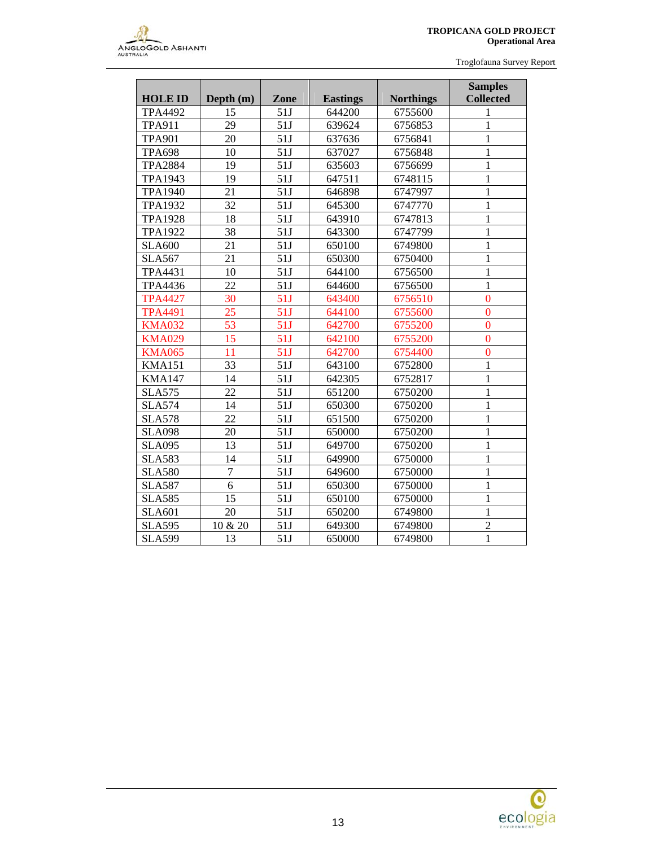

|                |                 |      | <b>Samples</b>  |                  |                  |
|----------------|-----------------|------|-----------------|------------------|------------------|
| <b>HOLE ID</b> | Depth (m)       | Zone | <b>Eastings</b> | <b>Northings</b> | <b>Collected</b> |
| <b>TPA4492</b> | 15              | 51J  | 644200          | 6755600          | 1                |
| <b>TPA911</b>  | 29              | 51J  | 639624          | 6756853          | $\mathbf{1}$     |
| <b>TPA901</b>  | 20              | 51J  | 637636          | 6756841          | $\mathbf{1}$     |
| <b>TPA698</b>  | 10              | 51J  | 637027          | 6756848          | $\mathbf{1}$     |
| <b>TPA2884</b> | 19              | 51J  | 635603          | 6756699          | $\mathbf{1}$     |
| <b>TPA1943</b> | 19              | 51J  | 647511          | 6748115          | $\mathbf{1}$     |
| <b>TPA1940</b> | 21              | 51J  | 646898          | 6747997          | $\mathbf{1}$     |
| <b>TPA1932</b> | 32              | 51J  | 645300          | 6747770          | $\mathbf{1}$     |
| <b>TPA1928</b> | 18              | 51J  | 643910          | 6747813          | $\mathbf{1}$     |
| <b>TPA1922</b> | 38              | 51J  | 643300          | 6747799          | $\mathbf{1}$     |
| <b>SLA600</b>  | $\overline{21}$ | 51J  | 650100          | 6749800          | $\mathbf{1}$     |
| <b>SLA567</b>  | 21              | 51J  | 650300          | 6750400          | $\mathbf{1}$     |
| TPA4431        | 10              | 51J  | 644100          | 6756500          | $\mathbf{1}$     |
| TPA4436        | 22              | 51J  | 644600          | 6756500          | $\mathbf{1}$     |
| <b>TPA4427</b> | 30              | 51J  | 643400          | 6756510          | $\overline{0}$   |
| <b>TPA4491</b> | 25              | 51J  | 644100          | 6755600          | $\mathbf{0}$     |
| <b>KMA032</b>  | 53              | 51J  | 642700          | 6755200          | $\overline{0}$   |
| <b>KMA029</b>  | 15              | 51J  | 642100          | 6755200          | $\overline{0}$   |
| <b>KMA065</b>  | 11              | 51J  | 642700          | 6754400          | $\overline{0}$   |
| <b>KMA151</b>  | 33              | 51J  | 643100          | 6752800          | $\mathbf{1}$     |
| <b>KMA147</b>  | 14              | 51J  | 642305          | 6752817          | $\mathbf{1}$     |
| <b>SLA575</b>  | 22              | 51J  | 651200          | 6750200          | $\mathbf{1}$     |
| <b>SLA574</b>  | 14              | 51J  | 650300          | 6750200          | $\mathbf{1}$     |
| <b>SLA578</b>  | 22              | 51J  | 651500          | 6750200          | $\mathbf{1}$     |
| <b>SLA098</b>  | 20              | 51J  | 650000          | 6750200          | $\mathbf{1}$     |
| <b>SLA095</b>  | 13              | 51J  | 649700          | 6750200          | $\mathbf{1}$     |
| <b>SLA583</b>  | 14              | 51J  | 649900          | 6750000          | $\mathbf{1}$     |
| <b>SLA580</b>  | $\overline{7}$  | 51J  | 649600          | 6750000          | $\mathbf{1}$     |
| <b>SLA587</b>  | 6               | 51J  | 650300          | 6750000          | $\mathbf{1}$     |
| <b>SLA585</b>  | 15              | 51J  | 650100          | 6750000          | $\mathbf{1}$     |
| <b>SLA601</b>  | 20              | 51J  | 650200          | 6749800          | $\mathbf{1}$     |
| <b>SLA595</b>  | 10 & 20         | 51J  | 649300          | 6749800          | $\overline{2}$   |
| <b>SLA599</b>  | 13              | 51J  | 650000          | 6749800          | $\mathbf{1}$     |

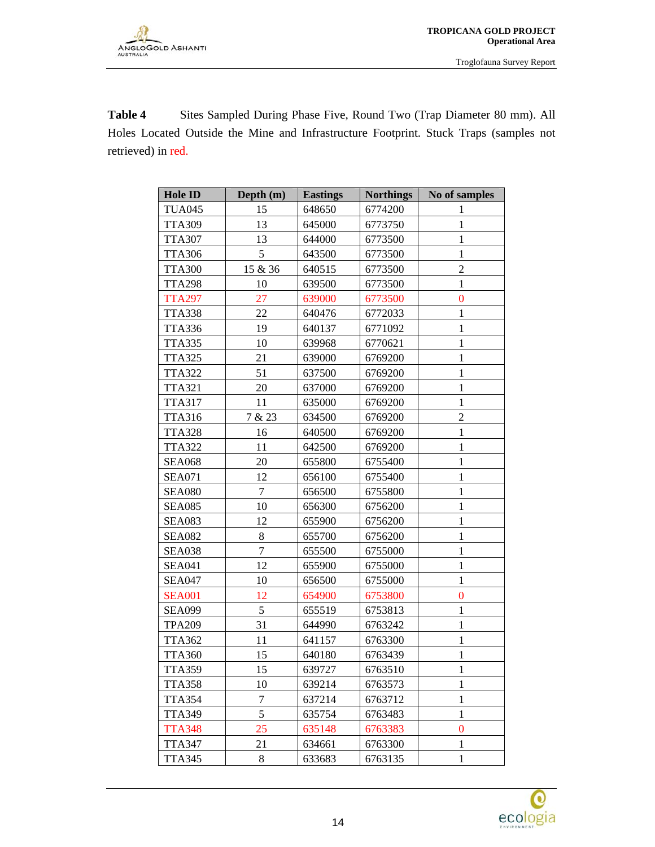Table 4 Sites Sampled During Phase Five, Round Two (Trap Diameter 80 mm). All Holes Located Outside the Mine and Infrastructure Footprint. Stuck Traps (samples not retrieved) in red.

| Hole ID       | Depth (m)      | <b>Eastings</b> | <b>Northings</b> | No of samples    |  |  |
|---------------|----------------|-----------------|------------------|------------------|--|--|
| <b>TUA045</b> | 15             | 648650          | 6774200          | 1                |  |  |
| <b>TTA309</b> | 13             | 645000          | 6773750          | $\mathbf{1}$     |  |  |
| <b>TTA307</b> | 13             | 644000          | 6773500          | $\mathbf{1}$     |  |  |
| <b>TTA306</b> | 5              | 643500          | 6773500          | $\mathbf{1}$     |  |  |
| <b>TTA300</b> | 15 & 36        | 640515          | 6773500          | $\overline{2}$   |  |  |
| <b>TTA298</b> | 10             | 639500          | 6773500          | $\mathbf{1}$     |  |  |
| <b>TTA297</b> | 27             | 639000          | 6773500          | $\boldsymbol{0}$ |  |  |
| <b>TTA338</b> | 22             | 640476          | 6772033          | $\mathbf{1}$     |  |  |
| <b>TTA336</b> | 19             | 640137          | 6771092          | $\mathbf{1}$     |  |  |
| <b>TTA335</b> | 10             | 639968          | 6770621          | $\mathbf{1}$     |  |  |
| <b>TTA325</b> | 21             | 639000          | 6769200          | $\mathbf{1}$     |  |  |
| <b>TTA322</b> | 51             | 637500          | 6769200          | $\mathbf{1}$     |  |  |
| <b>TTA321</b> | 20             | 637000          | 6769200          | $\mathbf{1}$     |  |  |
| <b>TTA317</b> | 11             | 635000          | 6769200          | 1                |  |  |
| <b>TTA316</b> | 7 & 23         | 634500          | 6769200          | $\overline{c}$   |  |  |
| <b>TTA328</b> | 16             | 640500          | 6769200          | $\mathbf{1}$     |  |  |
| <b>TTA322</b> | 11             | 642500          | 6769200          | $\mathbf{1}$     |  |  |
| <b>SEA068</b> | 20             | 655800          | 6755400          | $\mathbf{1}$     |  |  |
| <b>SEA071</b> | 12             | 656100          | 6755400          | $\mathbf{1}$     |  |  |
| <b>SEA080</b> | $\overline{7}$ | 656500          | 6755800          | $\mathbf{1}$     |  |  |
| <b>SEA085</b> | 10             | 656300          | 6756200          | $\mathbf{1}$     |  |  |
| <b>SEA083</b> | 12             | 655900          | 6756200          | $\mathbf{1}$     |  |  |
| <b>SEA082</b> | 8              | 655700          | 6756200          | $\mathbf{1}$     |  |  |
| <b>SEA038</b> | 7              | 655500          | 6755000          | $\mathbf{1}$     |  |  |
| <b>SEA041</b> | 12             | 655900          | 6755000          | $\mathbf{1}$     |  |  |
| <b>SEA047</b> | 10             | 656500          | 6755000          | $\mathbf{1}$     |  |  |
| <b>SEA001</b> | 12             | 654900          | 6753800          | $\boldsymbol{0}$ |  |  |
| <b>SEA099</b> | 5              | 655519          | 6753813          | $\mathbf{1}$     |  |  |
| <b>TPA209</b> | 31             | 644990          | 6763242          | $\mathbf{1}$     |  |  |
| <b>TTA362</b> | 11             | 641157          | 6763300          | $\mathbf{1}$     |  |  |
| <b>TTA360</b> | 15             | 640180          | 6763439          | $\mathbf{1}$     |  |  |
| <b>TTA359</b> | 15             | 639727          | 6763510          | 1                |  |  |
| <b>TTA358</b> | 10             | 639214          | 6763573          | $\mathbf{1}$     |  |  |
| <b>TTA354</b> | 7              | 637214          | 6763712          | $\mathbf{1}$     |  |  |
| <b>TTA349</b> | 5              | 635754          | 6763483          | $\mathbf{1}$     |  |  |
| <b>TTA348</b> | 25             | 635148          | 6763383          | $\boldsymbol{0}$ |  |  |
| <b>TTA347</b> | 21             | 634661          | 6763300          | 1                |  |  |
| <b>TTA345</b> | 8              | 633683          | 6763135          | $\mathbf{1}$     |  |  |

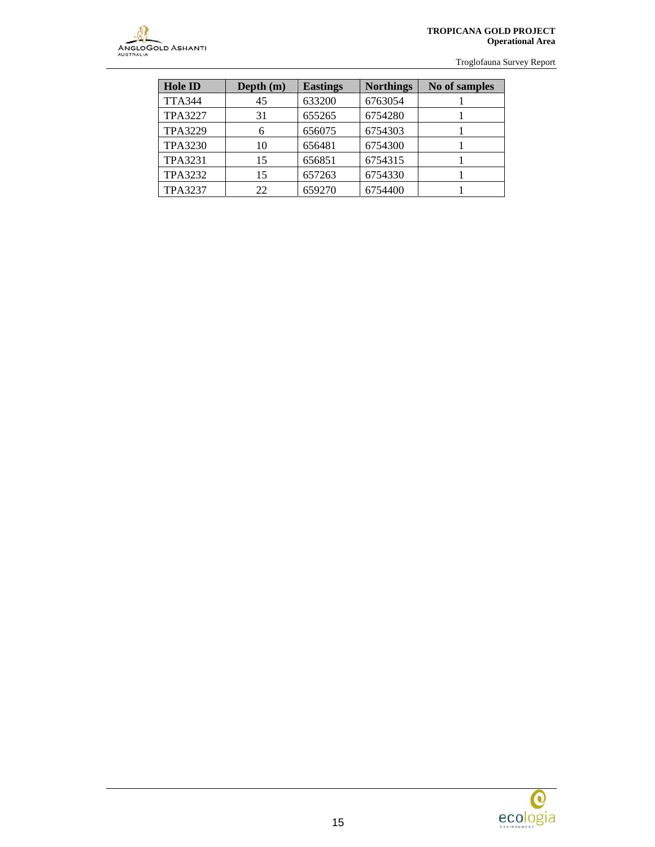

#### **TROPICANA GOLD PROJECT Operational Area**

Troglofauna Survey Report

| <b>Hole ID</b> | Depth $(m)$ | <b>Eastings</b> | <b>Northings</b> | No of samples |
|----------------|-------------|-----------------|------------------|---------------|
| <b>TTA344</b>  | 45          | 633200          | 6763054          |               |
| <b>TPA3227</b> | 31          | 655265          | 6754280          |               |
| <b>TPA3229</b> | 6           | 656075          | 6754303          |               |
| <b>TPA3230</b> | 10          | 656481          | 6754300          |               |
| <b>TPA3231</b> | 15          | 656851          | 6754315          |               |
| <b>TPA3232</b> | 15          | 657263          | 6754330          |               |
| <b>TPA3237</b> | 22          | 659270          | 6754400          |               |

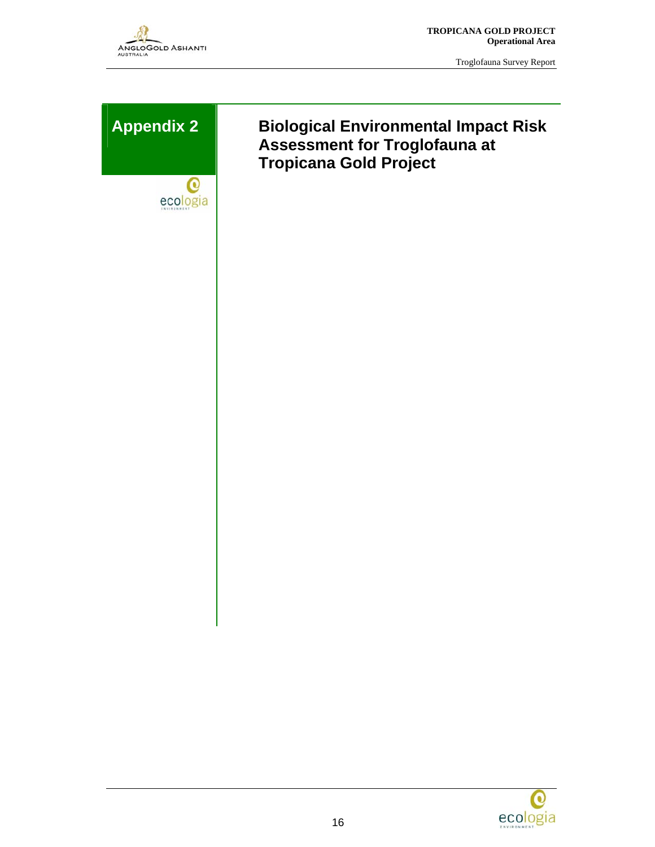

 **TROPICANA GOLD PROJECT Operational Area** 

Troglofauna Survey Report





### **Appendix 2 Biological Environmental Impact Risk Assessment for Troglofauna at Tropicana Gold Project**

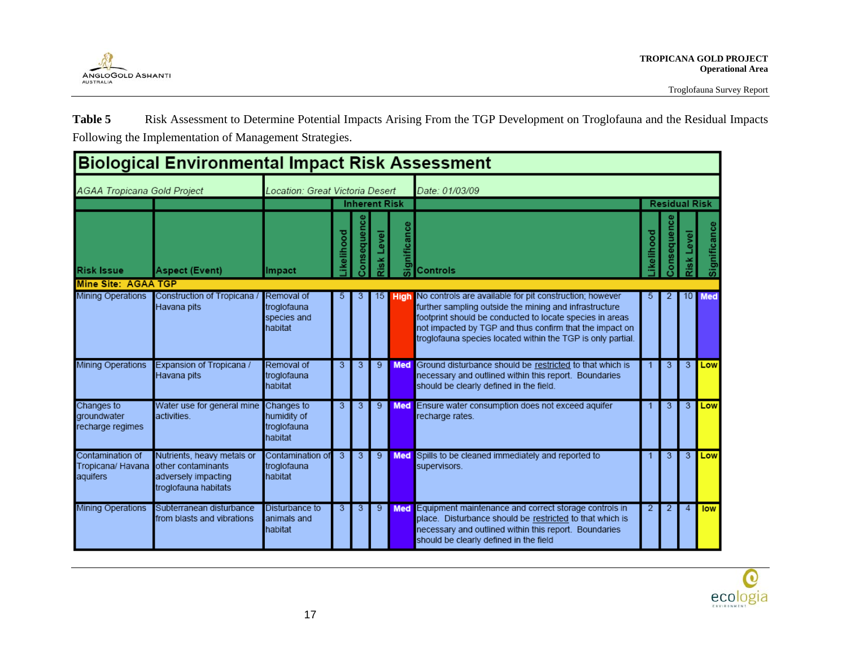

Table 5 Risk Assessment to Determine Potential Impacts Arising From the TGP Development on Troglofauna and the Residual Impacts Following the Implementation of Management Strategies.

| <b>Biological Environmental Impact Risk Assessment</b> |                                                                                                 |                                            |                      |          |                 |              |                                                                                                                                                                                                                                                                                                         |                      |      |                |              |
|--------------------------------------------------------|-------------------------------------------------------------------------------------------------|--------------------------------------------|----------------------|----------|-----------------|--------------|---------------------------------------------------------------------------------------------------------------------------------------------------------------------------------------------------------------------------------------------------------------------------------------------------------|----------------------|------|----------------|--------------|
| <b>AGAA Tropicana Gold Project</b>                     |                                                                                                 | Location: Great Victoria Desert            |                      |          |                 |              | Date: 01/03/09                                                                                                                                                                                                                                                                                          |                      |      |                |              |
|                                                        |                                                                                                 |                                            | <b>Inherent Risk</b> |          |                 |              |                                                                                                                                                                                                                                                                                                         | <b>Residual Risk</b> |      |                |              |
| <b>Risk Issue</b>                                      | <b>Aspect (Event)</b>                                                                           | Impact                                     | kelihood             | onsequen | Level<br>Risk l | Significance | <b>Controls</b>                                                                                                                                                                                                                                                                                         | kelihood             | eque | evel           | Significance |
| <b>Mine Site: AGAA TGP</b>                             |                                                                                                 |                                            |                      |          |                 |              |                                                                                                                                                                                                                                                                                                         |                      |      |                |              |
| Mining Operations                                      | Construction of Tropicana / Removal of<br>Havana pits                                           | troglofauna<br>species and<br>habitat      | 5                    | з        | 15              | <b>High</b>  | No controls are available for pit construction; however<br>further sampling outside the mining and infrastructure<br>footprint should be conducted to locate species in areas<br>not impacted by TGP and thus confirm that the impact on<br>troglofauna species located within the TGP is only partial. | 5                    |      | 10 I           | <b>Med</b>   |
| <b>Mining Operations</b>                               | Expansion of Tropicana /<br>Havana pits                                                         | Removal of<br>troglofauna<br>habitat       | 3                    | 3        | 9               |              | Med Ground disturbance should be restricted to that which is<br>necessary and outlined within this report. Boundaries<br>should be clearly defined in the field.                                                                                                                                        |                      | 3    | 3              | Low          |
| Changes to<br>groundwater<br>recharge regimes          | Water use for general mine Changes to<br>activities.                                            | humidity of<br>troglofauna<br>habitat      | 3                    | 3        | 9               | <b>Med</b>   | Ensure water consumption does not exceed aquifer<br>recharge rates.                                                                                                                                                                                                                                     |                      | 3    | 3              | Low          |
| Contamination of<br>Tropicana/ Havana<br>aquifers      | Nutrients, heavy metals or<br>other contaminants<br>adversely impacting<br>troglofauna habitats | Contamination of<br>troglofauna<br>habitat | 3                    | 3        | 9               |              | Med Spills to be cleaned immediately and reported to<br>supervisors.                                                                                                                                                                                                                                    | 1                    | 3    | 3 <sup>7</sup> | Low          |
| <b>Mining Operations</b>                               | Subterranean disturbance<br>from blasts and vibrations                                          | Disturbance to<br>animals and<br>habitat   | 3                    | 3        | 9               | <b>Med</b>   | Equipment maintenance and correct storage controls in<br>place. Disturbance should be restricted to that which is<br>necessary and outlined within this report. Boundaries<br>should be clearly defined in the field                                                                                    | 2                    | 2    | 4              | low          |